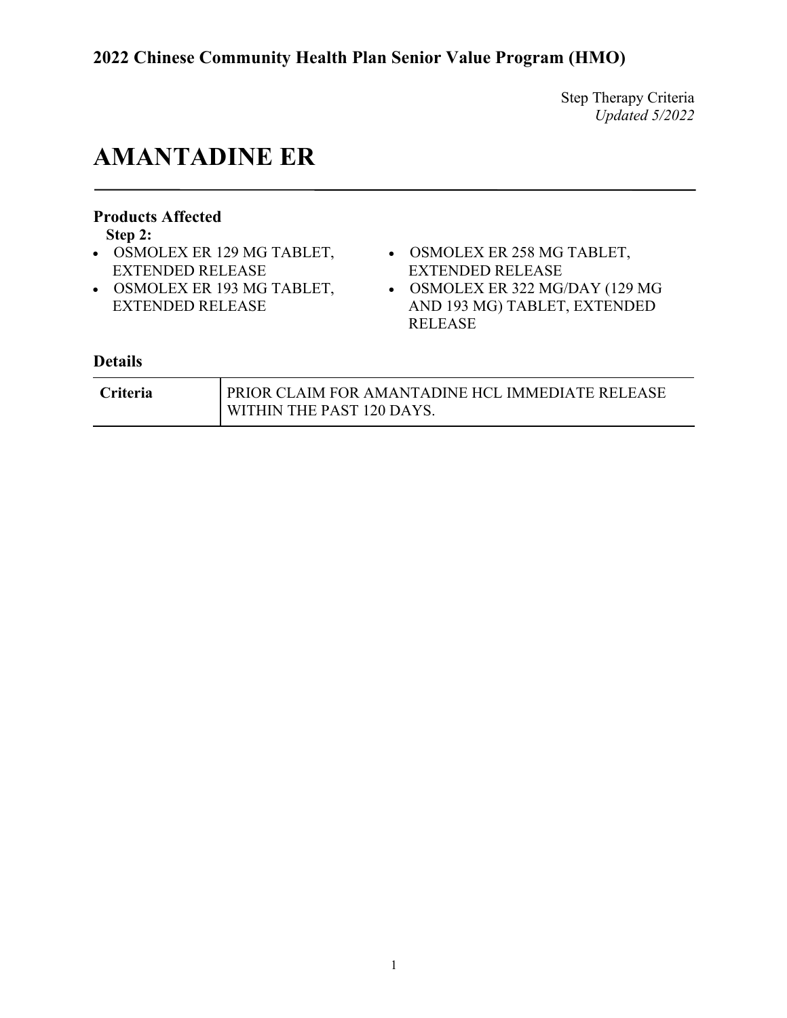## **AMANTADINE ER**

### **Products Affected**

**Step 2:**

- EXTENDED RELEASE
- OSMOLEX ER 193 MG TABLET, EXTENDED RELEASE
- OSMOLEX ER 129 MG TABLET, OSMOLEX ER 258 MG TABLET, EXTENDED RELEASE
	- OSMOLEX ER 322 MG/DAY (129 MG AND 193 MG) TABLET, EXTENDED RELEASE

| Criteria | <b>PRIOR CLAIM FOR AMANTADINE HCL IMMEDIATE RELEASE</b> |
|----------|---------------------------------------------------------|
|          | WITHIN THE PAST 120 DAYS.                               |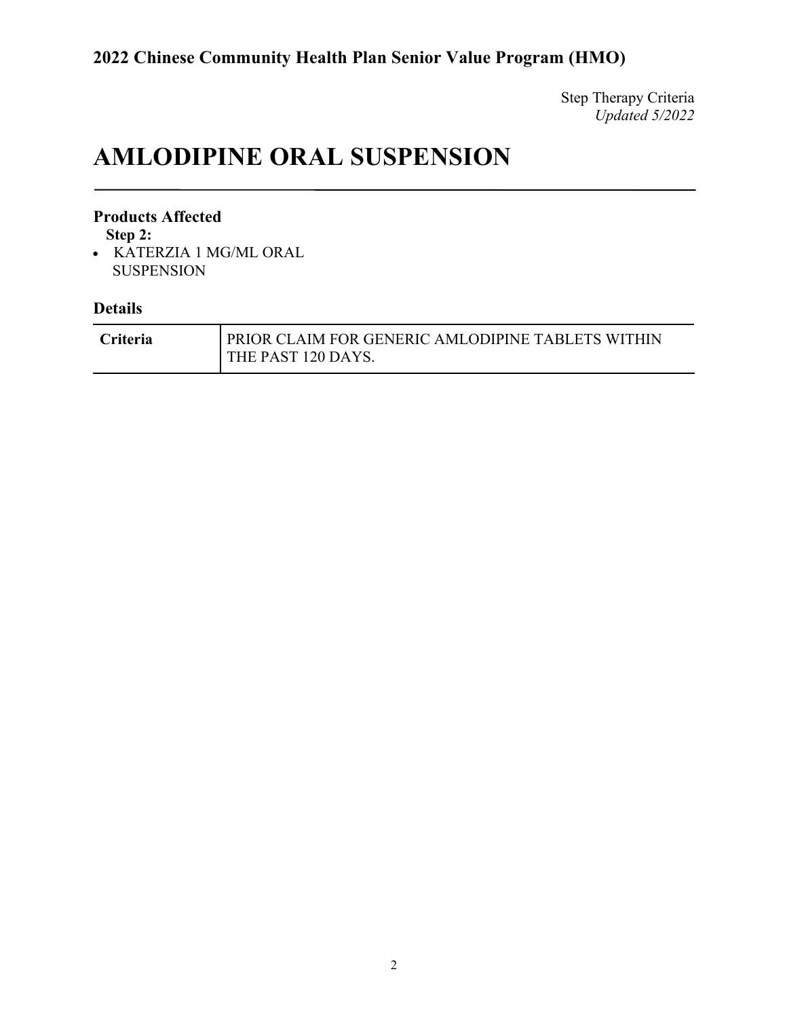Step Therapy Criteria *Updated 5/2022*

# **AMLODIPINE ORAL SUSPENSION**

#### **Products Affected**

**Step 2:**

• KATERZIA 1 MG/ML ORAL SUSPENSION

| <b>Criteria</b> | PRIOR CLAIM FOR GENERIC AMLODIPINE TABLETS WITHIN |
|-----------------|---------------------------------------------------|
|                 | THE PAST 120 DAYS.                                |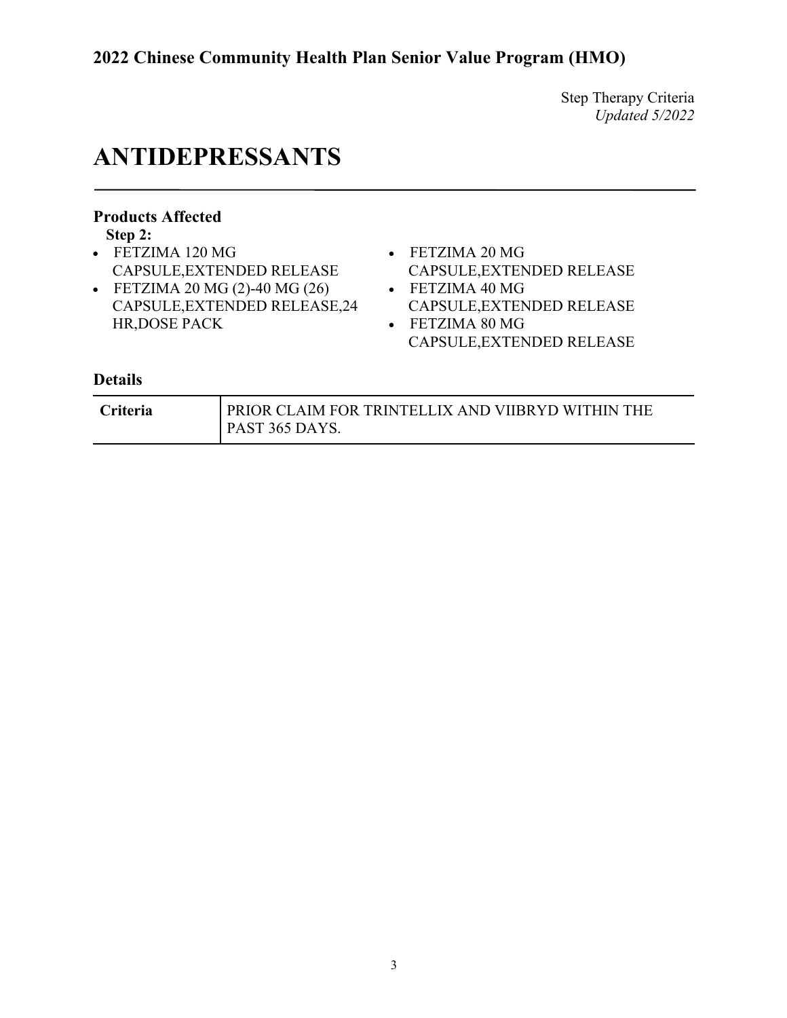## **ANTIDEPRESSANTS**

### **Products Affected**

**Step 2:**

- FETZIMA 120 MG CAPSULE,EXTENDED RELEASE
- FETZIMA 20 MG (2)-40 MG (26) CAPSULE,EXTENDED RELEASE,24 HR,DOSE PACK
- FETZIMA 20 MG
- CAPSULE,EXTENDED RELEASE • FETZIMA 40 MG
- CAPSULE,EXTENDED RELEASE
- FETZIMA 80 MG CAPSULE,EXTENDED RELEASE

| <b>Criteria</b> | PRIOR CLAIM FOR TRINTELLIX AND VIIBRYD WITHIN THE |
|-----------------|---------------------------------------------------|
|                 | PAST 365 DAYS.                                    |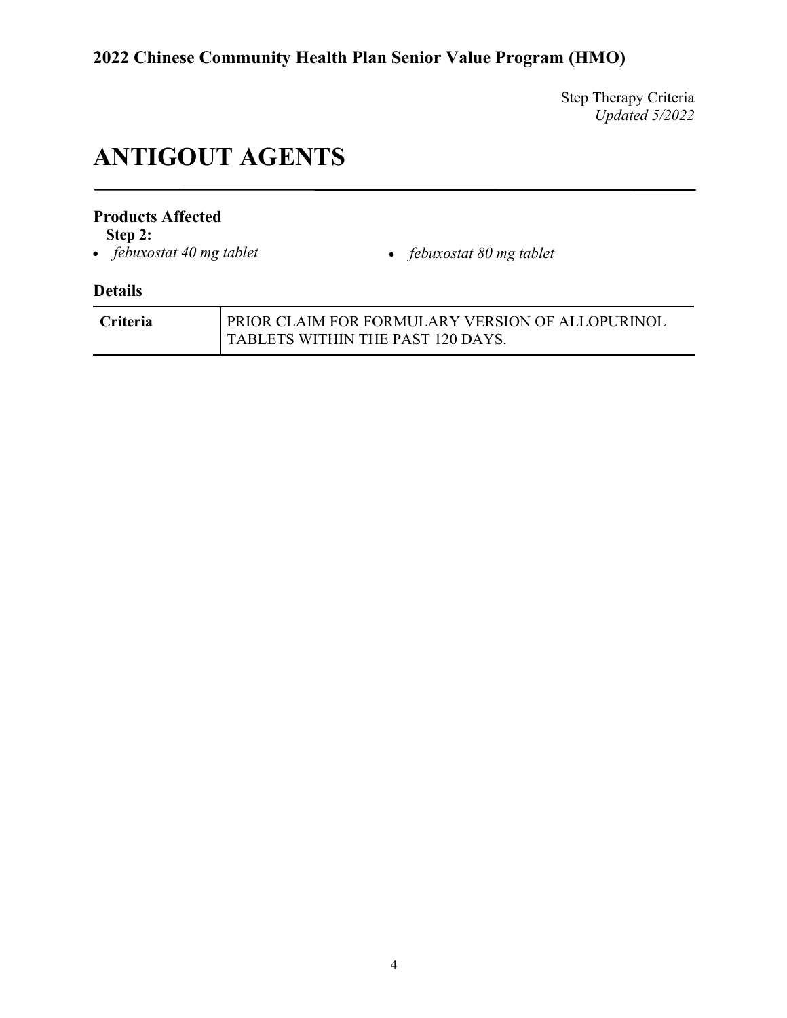Step Therapy Criteria *Updated 5/2022*

# **ANTIGOUT AGENTS**

#### **Products Affected**

**Step 2:**<br>• *febuxostat 40 mg tablet* 

• *febuxostat 40 mg tablet* • *febuxostat 80 mg tablet*

| <b>Criteria</b> | PRIOR CLAIM FOR FORMULARY VERSION OF ALLOPURINOL |
|-----------------|--------------------------------------------------|
|                 | TABLETS WITHIN THE PAST 120 DAYS.                |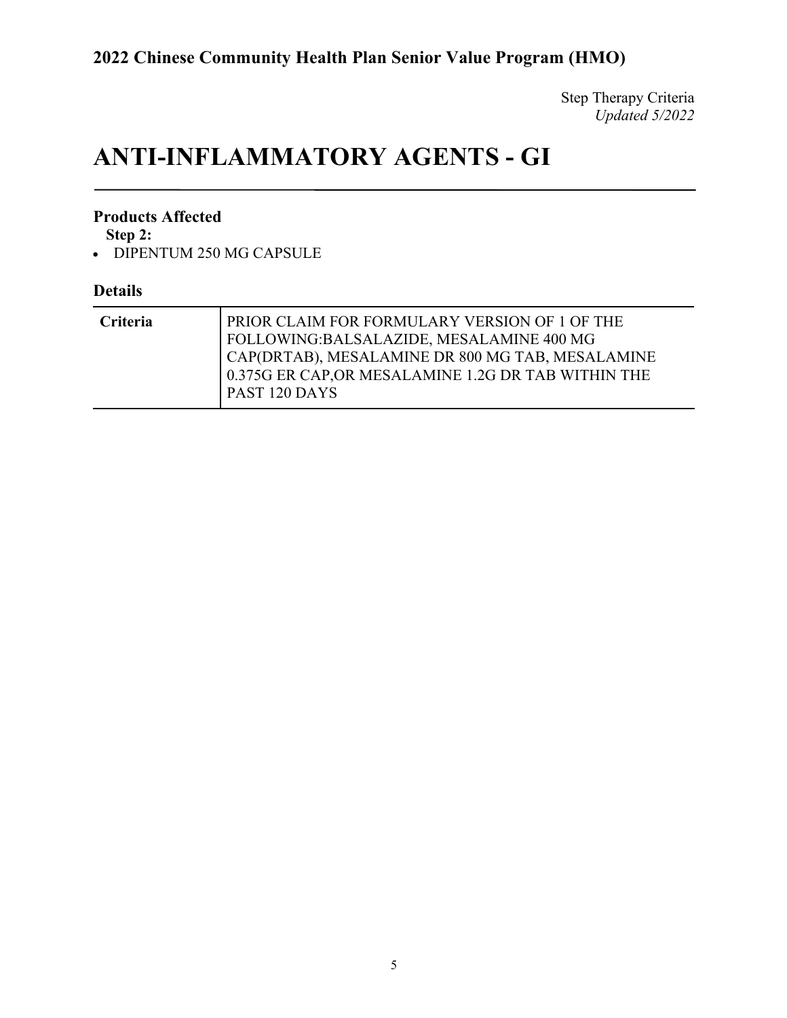# **ANTI-INFLAMMATORY AGENTS - GI**

#### **Products Affected**

**Step 2:**

• DIPENTUM 250 MG CAPSULE

| <b>Criteria</b> | PRIOR CLAIM FOR FORMULARY VERSION OF 1 OF THE<br>FOLLOWING:BALSALAZIDE, MESALAMINE 400 MG               |
|-----------------|---------------------------------------------------------------------------------------------------------|
|                 | CAP(DRTAB), MESALAMINE DR 800 MG TAB, MESALAMINE<br>0.375G ER CAP, OR MESALAMINE 1.2G DR TAB WITHIN THE |
|                 | <b>PAST 120 DAYS</b>                                                                                    |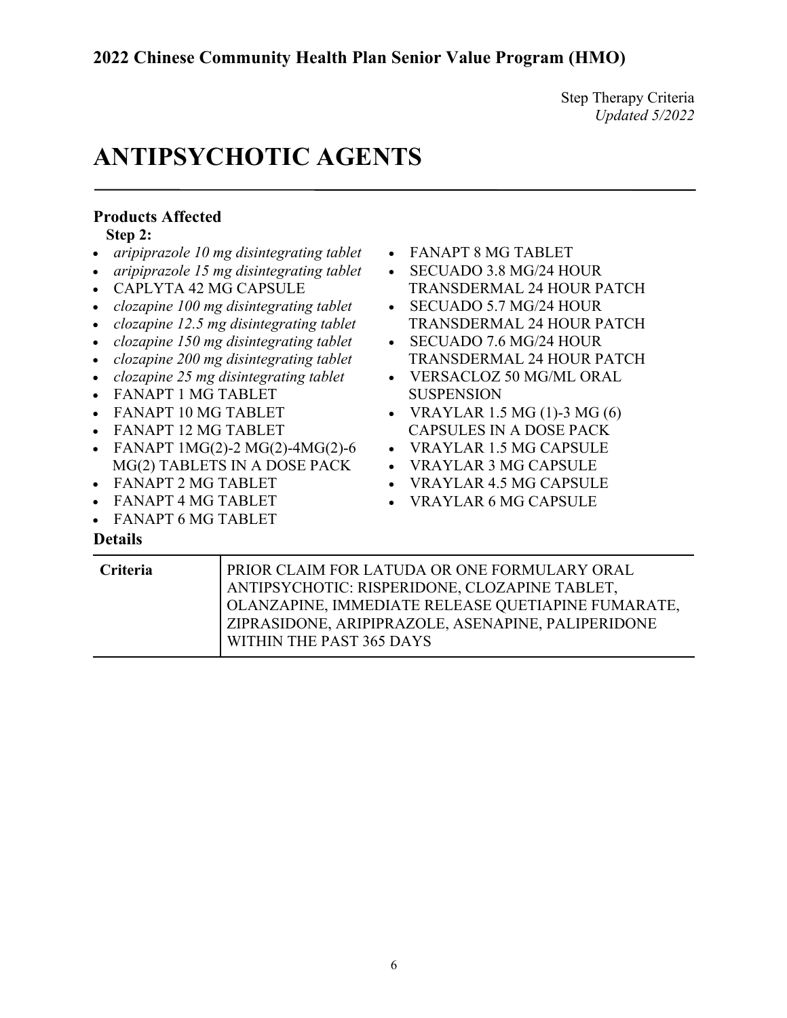# **ANTIPSYCHOTIC AGENTS**

| <b>Products Affected</b>                                                                                                                                                                                                                                                                                                                                                                                                                                                                                                                                                                       |                                                                                                                                                                                                                                                                                                                                                                                                                                                        |
|------------------------------------------------------------------------------------------------------------------------------------------------------------------------------------------------------------------------------------------------------------------------------------------------------------------------------------------------------------------------------------------------------------------------------------------------------------------------------------------------------------------------------------------------------------------------------------------------|--------------------------------------------------------------------------------------------------------------------------------------------------------------------------------------------------------------------------------------------------------------------------------------------------------------------------------------------------------------------------------------------------------------------------------------------------------|
| Step 2:                                                                                                                                                                                                                                                                                                                                                                                                                                                                                                                                                                                        |                                                                                                                                                                                                                                                                                                                                                                                                                                                        |
| aripiprazole 10 mg disintegrating tablet<br>aripiprazole 15 mg disintegrating tablet<br>CAPLYTA 42 MG CAPSULE<br>clozapine 100 mg disintegrating tablet<br>clozapine 12.5 mg disintegrating tablet<br>clozapine 150 mg disintegrating tablet<br>clozapine 200 mg disintegrating tablet<br>clozapine 25 mg disintegrating tablet<br><b>FANAPT 1 MG TABLET</b><br><b>FANAPT 10 MG TABLET</b><br><b>FANAPT 12 MG TABLET</b><br>FANAPT 1MG(2)-2 MG(2)-4MG(2)-6<br>MG(2) TABLETS IN A DOSE PACK<br><b>FANAPT 2 MG TABLET</b><br>$\bullet$<br><b>FANAPT 4 MG TABLET</b><br><b>FANAPT 6 MG TABLET</b> | <b>FANAPT 8 MG TABLET</b><br>SECUADO 3.8 MG/24 HOUR<br><b>TRANSDERMAL 24 HOUR PATCH</b><br>SECUADO 5.7 MG/24 HOUR<br>TRANSDERMAL 24 HOUR PATCH<br>SECUADO 7.6 MG/24 HOUR<br><b>TRANSDERMAL 24 HOUR PATCH</b><br><b>VERSACLOZ 50 MG/ML ORAL</b><br><b>SUSPENSION</b><br>VRAYLAR 1.5 MG (1)-3 MG (6)<br><b>CAPSULES IN A DOSE PACK</b><br><b>VRAYLAR 1.5 MG CAPSULE</b><br>VRAYLAR 3 MG CAPSULE<br><b>VRAYLAR 4.5 MG CAPSULE</b><br>VRAYLAR 6 MG CAPSULE |
| <b>Details</b>                                                                                                                                                                                                                                                                                                                                                                                                                                                                                                                                                                                 |                                                                                                                                                                                                                                                                                                                                                                                                                                                        |
| Criteria                                                                                                                                                                                                                                                                                                                                                                                                                                                                                                                                                                                       | PRIOR CLAIM FOR LATUDA OR ONE FORMULARY ORAL                                                                                                                                                                                                                                                                                                                                                                                                           |

| <b>Criteria</b> | PRIOR CLAIM FOR LATUDA OR ONE FORMULARY ORAL       |
|-----------------|----------------------------------------------------|
|                 | ANTIPSYCHOTIC: RISPERIDONE, CLOZAPINE TABLET,      |
|                 | OLANZAPINE, IMMEDIATE RELEASE QUETIAPINE FUMARATE, |
|                 | ZIPRASIDONE, ARIPIPRAZOLE, ASENAPINE, PALIPERIDONE |
|                 | WITHIN THE PAST 365 DAYS                           |
|                 |                                                    |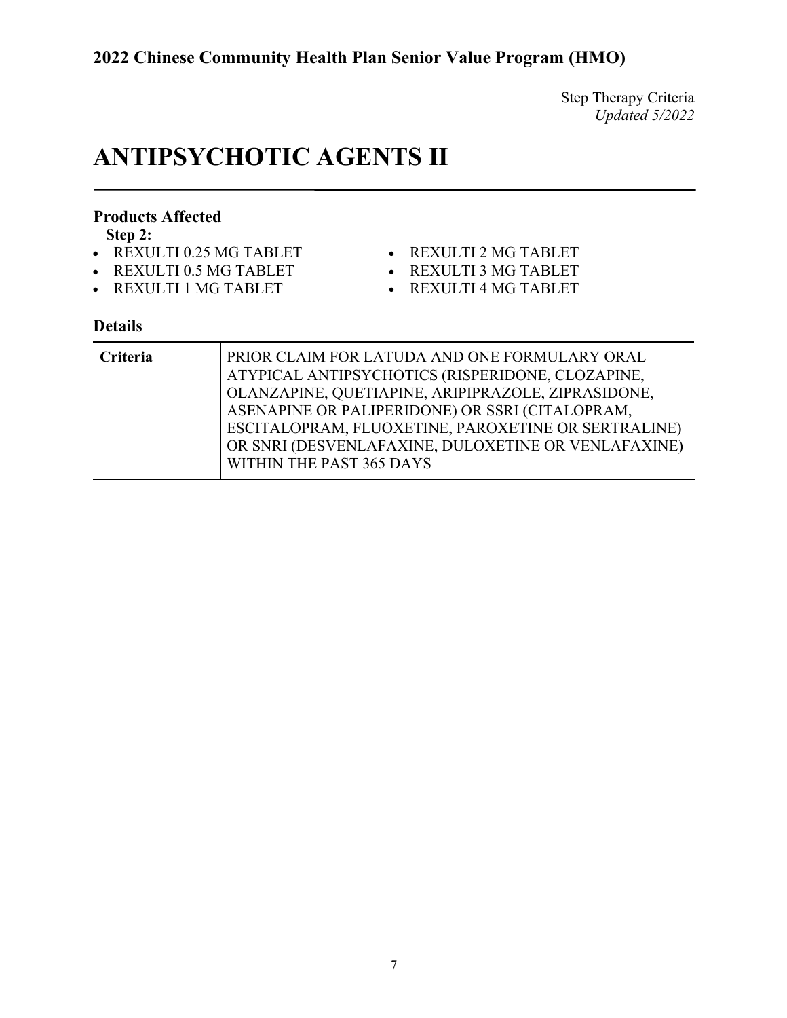# **ANTIPSYCHOTIC AGENTS II**

### **Products Affected**

**Step 2:**

- REXULTI 0.25 MG TABLET
- REXULTI 0.5 MG TABLET
- REXULTI 1 MG TABLET
- REXULTI 2 MG TABLET
	- REXULTI 3 MG TABLET
	- REXULTI 4 MG TABLET

| Criteria | PRIOR CLAIM FOR LATUDA AND ONE FORMULARY ORAL<br>ATYPICAL ANTIPSYCHOTICS (RISPERIDONE, CLOZAPINE,<br>OLANZAPINE, QUETIAPINE, ARIPIPRAZOLE, ZIPRASIDONE,<br>ASENAPINE OR PALIPERIDONE) OR SSRI (CITALOPRAM,<br>ESCITALOPRAM, FLUOXETINE, PAROXETINE OR SERTRALINE) |
|----------|-------------------------------------------------------------------------------------------------------------------------------------------------------------------------------------------------------------------------------------------------------------------|
|          | OR SNRI (DESVENLAFAXINE, DULOXETINE OR VENLAFAXINE)<br>WITHIN THE PAST 365 DAYS                                                                                                                                                                                   |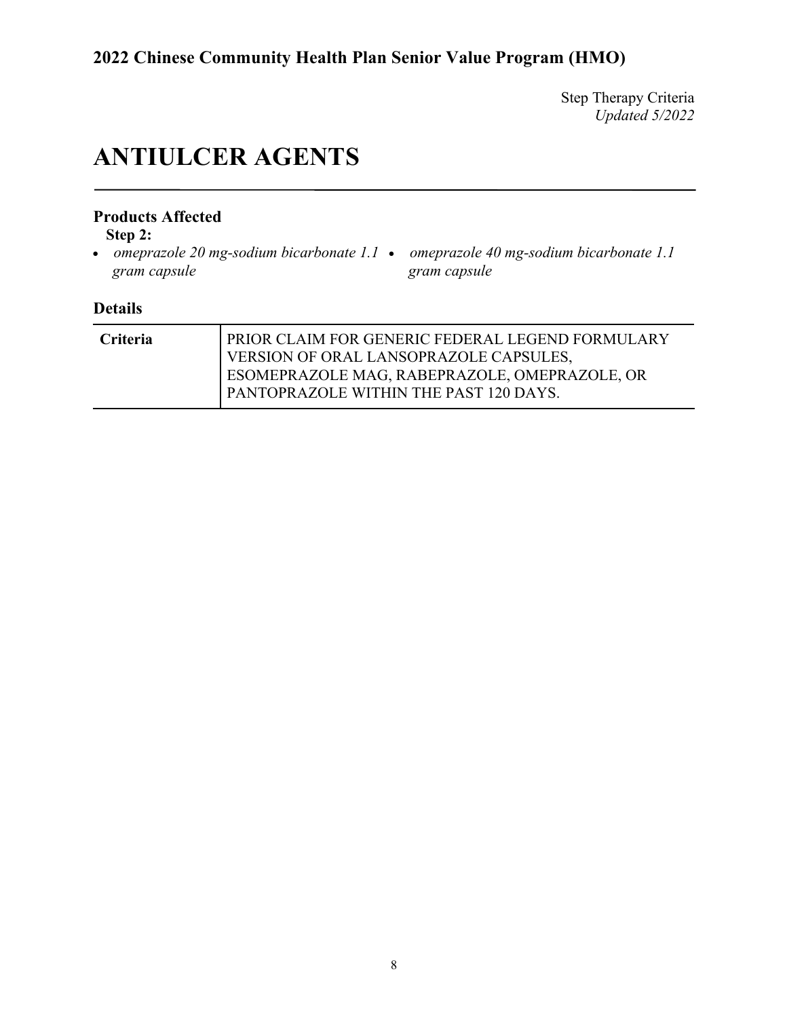Step Therapy Criteria *Updated 5/2022*

# **ANTIULCER AGENTS**

### **Products Affected**

**Step 2:**

- *omeprazole 20 mg-sodium bicarbonate 1.1 omeprazole 40 mg-sodium bicarbonate 1.1 gram capsule*
- *gram capsule*

| <b>Criteria</b> | PRIOR CLAIM FOR GENERIC FEDERAL LEGEND FORMULARY |
|-----------------|--------------------------------------------------|
|                 | VERSION OF ORAL LANSOPRAZOLE CAPSULES,           |
|                 | ESOMEPRAZOLE MAG, RABEPRAZOLE, OMEPRAZOLE, OR    |
|                 | PANTOPRAZOLE WITHIN THE PAST 120 DAYS.           |
|                 |                                                  |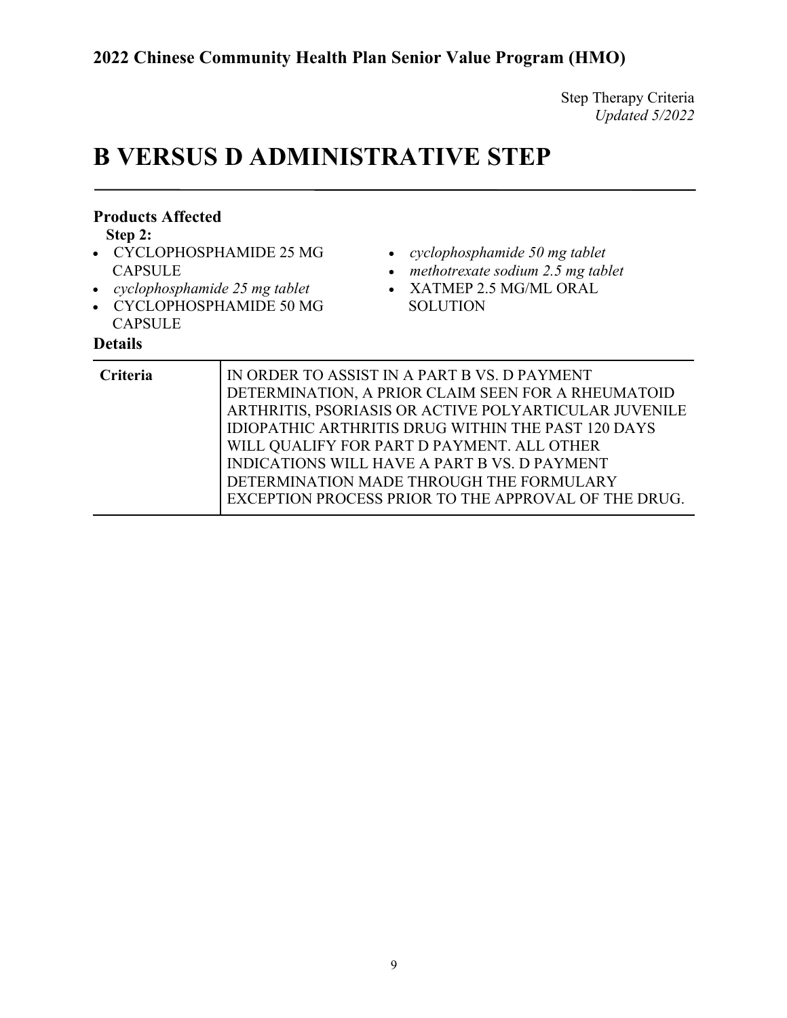# **B VERSUS D ADMINISTRATIVE STEP**

| <b>Products Affected</b><br>Step 2:<br>CYCLOPHOSPHAMIDE 25 MG<br>$\bullet$<br><b>CAPSULE</b><br>• cyclophosphamide $25$ mg tablet<br>CYCLOPHOSPHAMIDE 50 MG<br>$\bullet$<br><b>CAPSULE</b><br><b>Details</b> | cyclophosphamide 50 mg tablet<br>methotrexate sodium 2.5 mg tablet<br>XATMEP 2.5 MG/ML ORAL<br>$\bullet$<br><b>SOLUTION</b>                                                                                                                                                                                                   |
|--------------------------------------------------------------------------------------------------------------------------------------------------------------------------------------------------------------|-------------------------------------------------------------------------------------------------------------------------------------------------------------------------------------------------------------------------------------------------------------------------------------------------------------------------------|
| <b>Criteria</b>                                                                                                                                                                                              | IN ORDER TO ASSIST IN A PART B VS. D PAYMENT<br>DETERMINATION, A PRIOR CLAIM SEEN FOR A RHEUMATOID<br>ARTHRITIS, PSORIASIS OR ACTIVE POLYARTICULAR JUVENILE<br><b>IDIOPATHIC ARTHRITIS DRUG WITHIN THE PAST 120 DAYS</b><br>WILL QUALIFY FOR PART D PAYMENT. ALL OTHER<br><b>INDICATIONS WILL HAVE A PART B VS. D PAYMENT</b> |

DETERMINATION MADE THROUGH THE FORMULARY

EXCEPTION PROCESS PRIOR TO THE APPROVAL OF THE DRUG.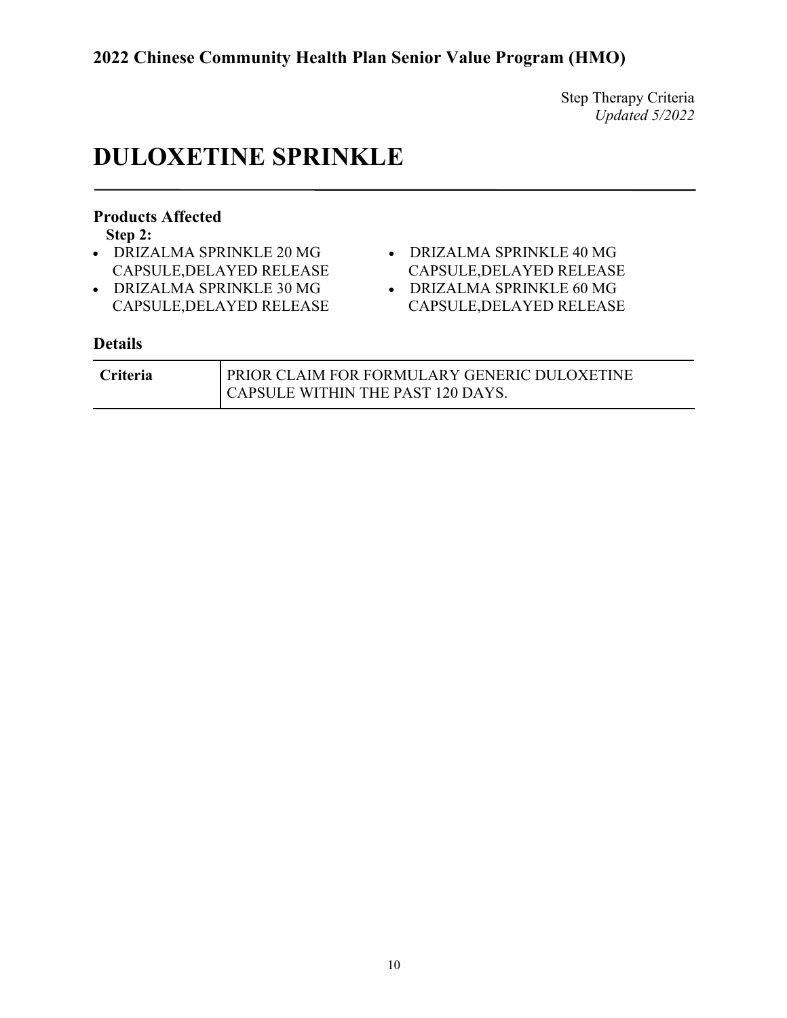# **DULOXETINE SPRINKLE**

### **Products Affected**

**Step 2:**

- DRIZALMA SPRINKLE 20 MG CAPSULE,DELAYED RELEASE
- DRIZALMA SPRINKLE 30 MG CAPSULE,DELAYED RELEASE
- DRIZALMA SPRINKLE 40 MG CAPSULE,DELAYED RELEASE
- DRIZALMA SPRINKLE 60 MG CAPSULE,DELAYED RELEASE

| <b>Criteria</b> | PRIOR CLAIM FOR FORMULARY GENERIC DULOXETINE |
|-----------------|----------------------------------------------|
|                 | CAPSULE WITHIN THE PAST 120 DAYS.            |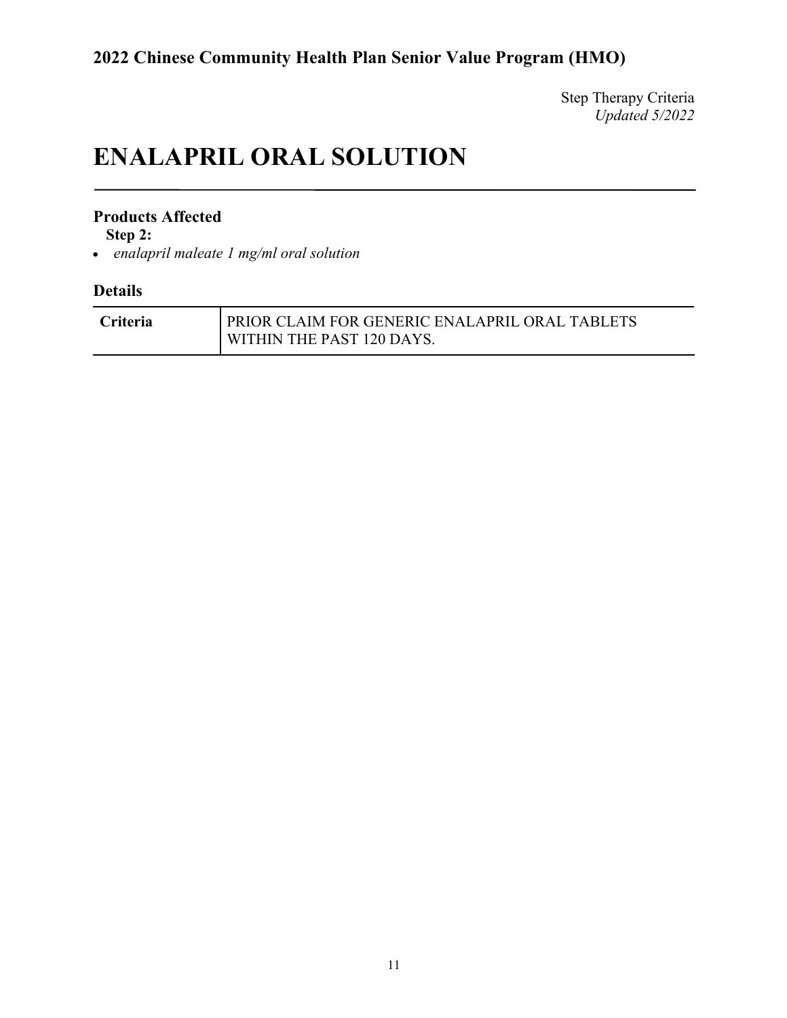Step Therapy Criteria *Updated 5/2022*

# **ENALAPRIL ORAL SOLUTION**

#### **Products Affected**

**Step 2:**

• *enalapril maleate 1 mg/ml oral solution*

| <b>Criteria</b> | <b>PRIOR CLAIM FOR GENERIC ENALAPRIL ORAL TABLETS</b> |
|-----------------|-------------------------------------------------------|
|                 | <b>I WITHIN THE PAST 120 DAYS.</b>                    |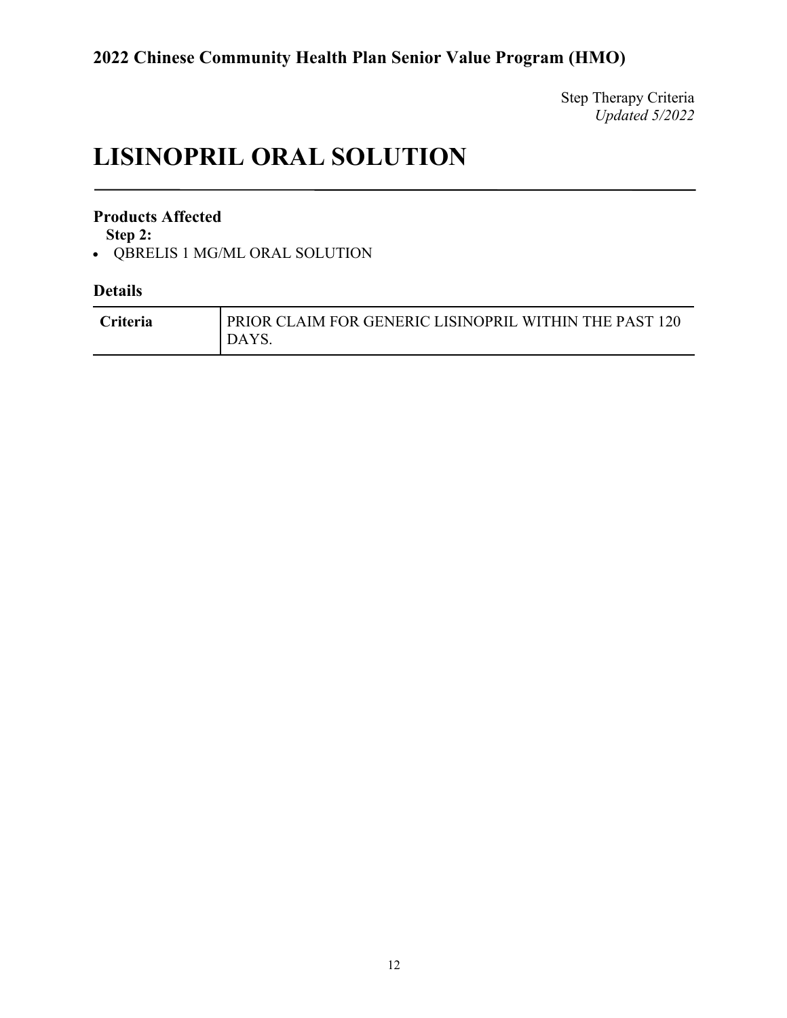Step Therapy Criteria *Updated 5/2022*

# **LISINOPRIL ORAL SOLUTION**

### **Products Affected**

**Step 2:**

• QBRELIS 1 MG/ML ORAL SOLUTION

| Criteria | PRIOR CLAIM FOR GENERIC LISINOPRIL WITHIN THE PAST 120<br>DAYS. |
|----------|-----------------------------------------------------------------|
|          |                                                                 |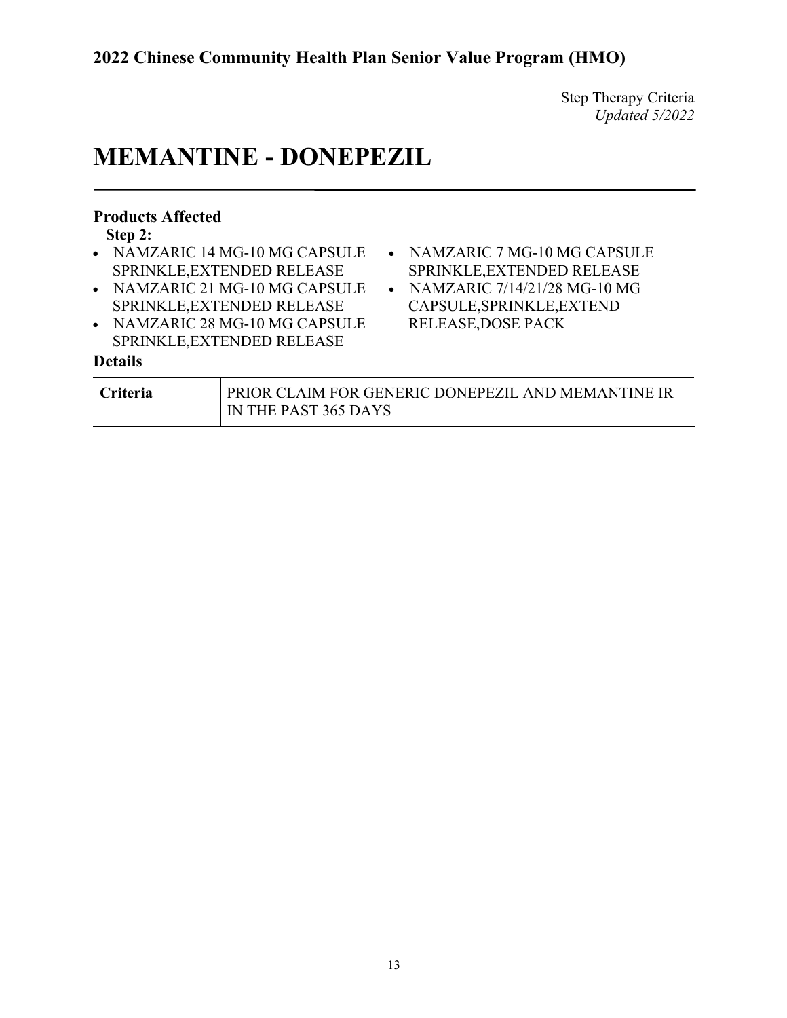# **MEMANTINE - DONEPEZIL**

| <b>Products Affected</b><br>Step 2: |                                                                                                                                                                |           |                                                                                                                                                       |
|-------------------------------------|----------------------------------------------------------------------------------------------------------------------------------------------------------------|-----------|-------------------------------------------------------------------------------------------------------------------------------------------------------|
|                                     | • NAMZARIC 14 MG-10 MG CAPSULE<br>SPRINKLE, EXTENDED RELEASE<br>• NAMZARIC 21 MG-10 MG CAPSULE<br>SPRINKLE, EXTENDED RELEASE<br>• NAMZARIC 28 MG-10 MG CAPSULE | $\bullet$ | • NAMZARIC 7 MG-10 MG CAPSULE<br>SPRINKLE, EXTENDED RELEASE<br>NAMZARIC 7/14/21/28 MG-10 MG<br>CAPSULE, SPRINKLE, EXTEND<br><b>RELEASE, DOSE PACK</b> |
| <b>Details</b>                      | SPRINKLE, EXTENDED RELEASE                                                                                                                                     |           |                                                                                                                                                       |
| Criteria                            | IN THE PAST 365 DAYS                                                                                                                                           |           | PRIOR CLAIM FOR GENERIC DONEPEZIL AND MEMANTINE IR                                                                                                    |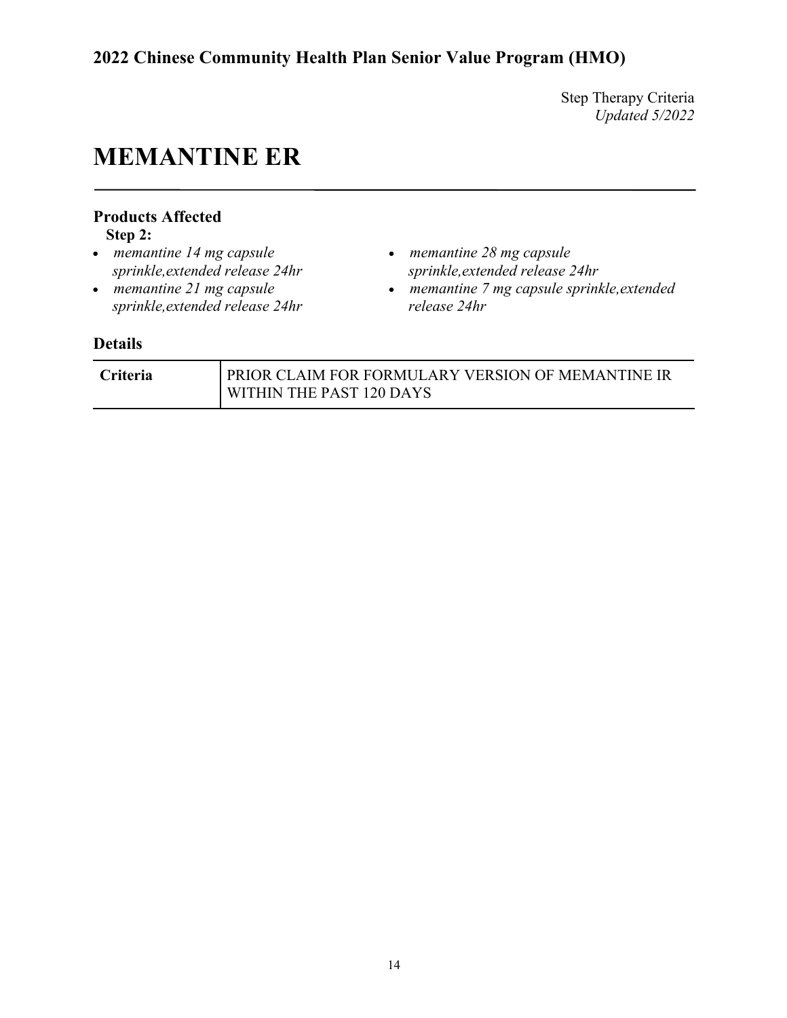Step Therapy Criteria *Updated 5/2022*

## **MEMANTINE ER**

### **Products Affected**

**Step 2:**

- *memantine 14 mg capsule sprinkle,extended release 24hr*
- *memantine 21 mg capsule sprinkle,extended release 24hr*
- *memantine 28 mg capsule sprinkle,extended release 24hr*
- *memantine 7 mg capsule sprinkle,extended release 24hr*

| <b>Criteria</b> | PRIOR CLAIM FOR FORMULARY VERSION OF MEMANTINE IR |
|-----------------|---------------------------------------------------|
|                 | WITHIN THE PAST 120 DAYS                          |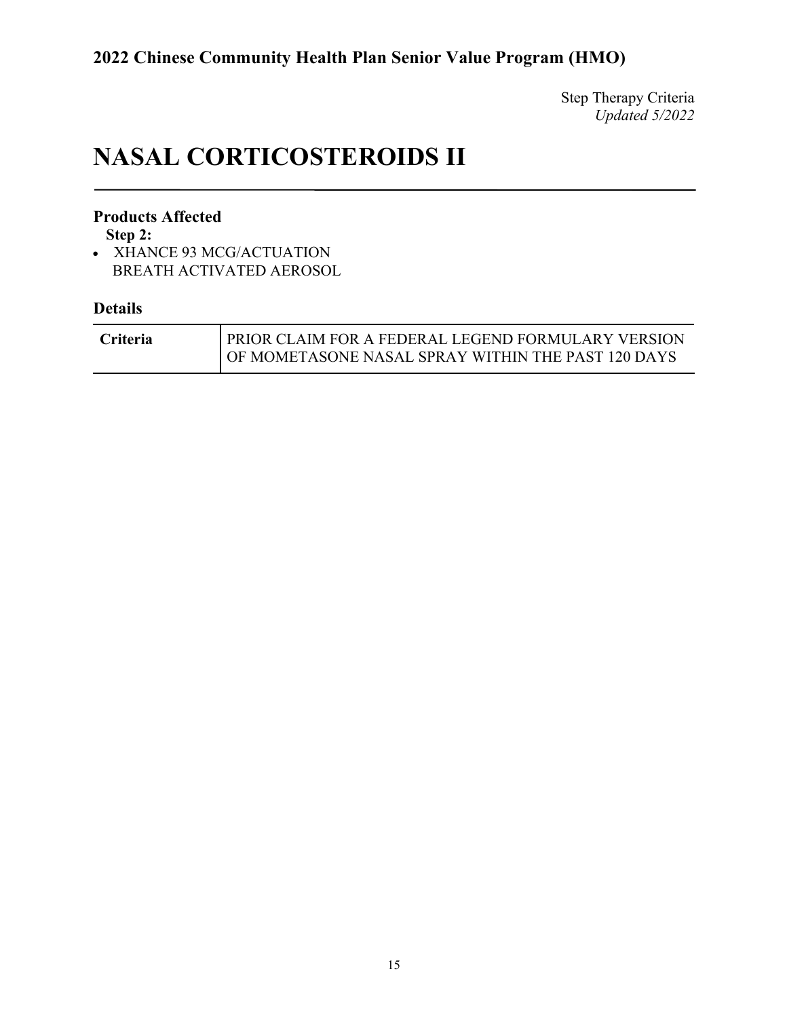# **NASAL CORTICOSTEROIDS II**

### **Products Affected**

**Step 2:**

• XHANCE 93 MCG/ACTUATION BREATH ACTIVATED AEROSOL

| <b>Criteria</b> | <b>PRIOR CLAIM FOR A FEDERAL LEGEND FORMULARY VERSION</b> |
|-----------------|-----------------------------------------------------------|
|                 | OF MOMETASONE NASAL SPRAY WITHIN THE PAST 120 DAYS        |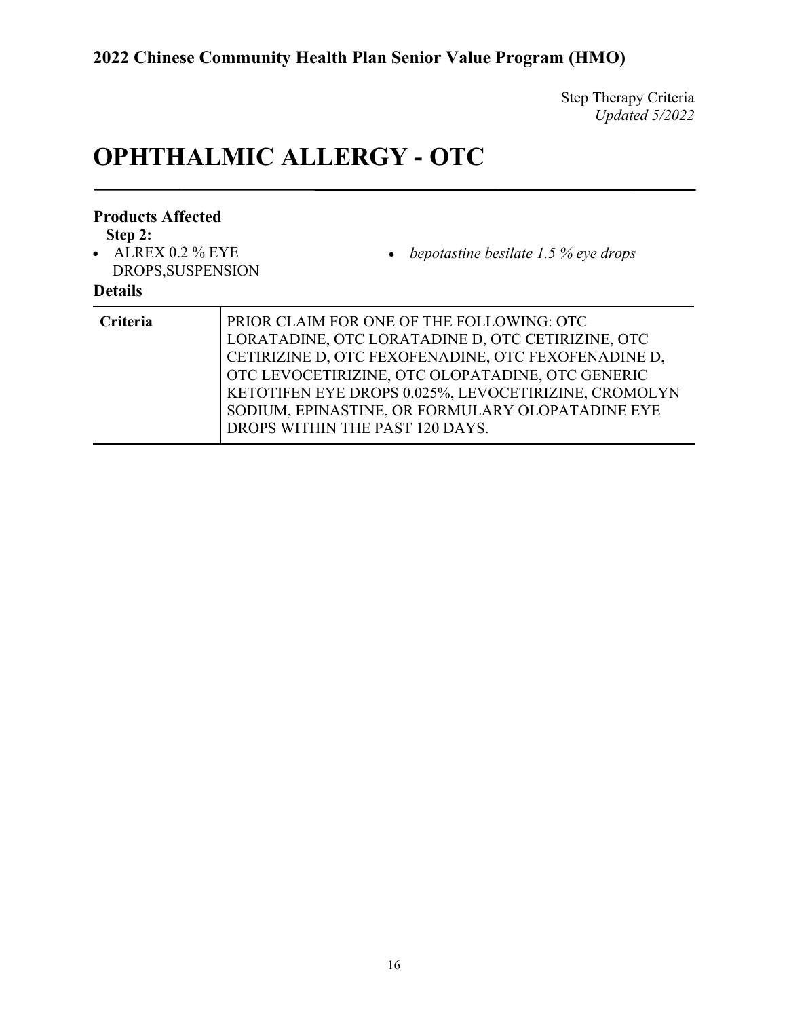Step Therapy Criteria *Updated 5/2022*

# **OPHTHALMIC ALLERGY - OTC**

| <b>Products Affected</b><br>Step 2:<br>$\bullet$ ALREX 0.2 % EYE<br>DROPS, SUSPENSION<br><b>Details</b> | • bepotastine besilate $1.5\%$ eye drops                                                                                                                                                                                                                                                                                                                 |
|---------------------------------------------------------------------------------------------------------|----------------------------------------------------------------------------------------------------------------------------------------------------------------------------------------------------------------------------------------------------------------------------------------------------------------------------------------------------------|
| Criteria                                                                                                | PRIOR CLAIM FOR ONE OF THE FOLLOWING: OTC<br>LORATADINE, OTC LORATADINE D, OTC CETIRIZINE, OTC<br>CETIRIZINE D, OTC FEXOFENADINE, OTC FEXOFENADINE D,<br>OTC LEVOCETIRIZINE, OTC OLOPATADINE, OTC GENERIC<br>KETOTIFEN EYE DROPS 0.025%, LEVOCETIRIZINE, CROMOLYN<br>SODIUM, EPINASTINE, OR FORMULARY OLOPATADINE EYE<br>DROPS WITHIN THE PAST 120 DAYS. |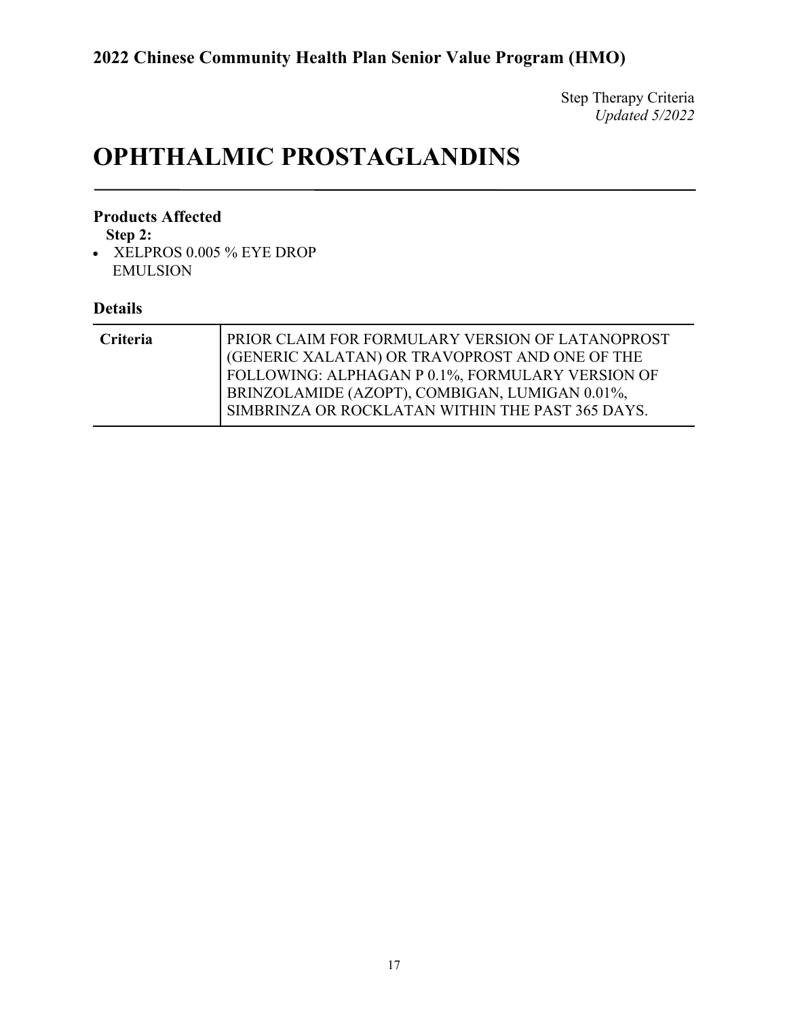# **OPHTHALMIC PROSTAGLANDINS**

#### **Products Affected**

**Step 2:**

• XELPROS 0.005 % EYE DROP EMULSION

| <b>Criteria</b> | PRIOR CLAIM FOR FORMULARY VERSION OF LATANOPROST<br>GENERIC XALATAN) OR TRAVOPROST AND ONE OF THE<br>FOLLOWING: ALPHAGAN P 0.1%, FORMULARY VERSION OF |
|-----------------|-------------------------------------------------------------------------------------------------------------------------------------------------------|
|                 | BRINZOLAMIDE (AZOPT), COMBIGAN, LUMIGAN 0.01%,                                                                                                        |
|                 | SIMBRINZA OR ROCKLATAN WITHIN THE PAST 365 DAYS.                                                                                                      |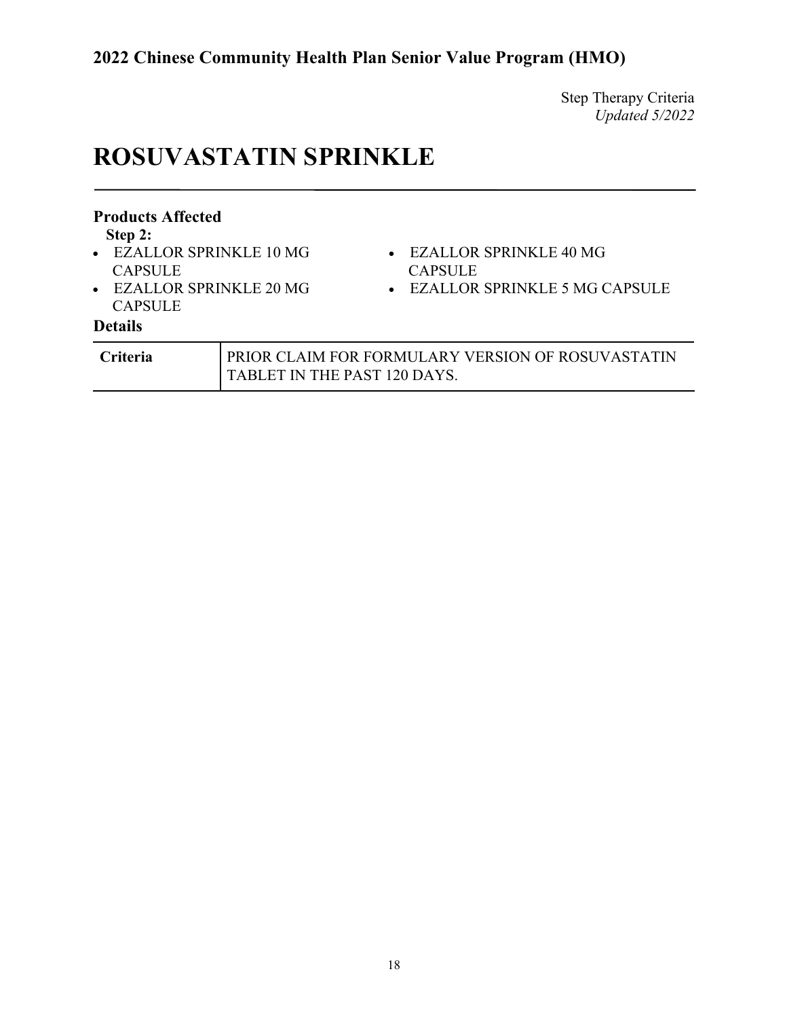# **ROSUVASTATIN SPRINKLE**

| <b>Products Affected</b><br>Step 2:<br>• EZALLOR SPRINKLE 10 MG<br><b>CAPSULE</b><br>• EZALLOR SPRINKLE 20 MG<br><b>CAPSULE</b><br><b>Details</b> |                              | • EZALLOR SPRINKLE 40 MG<br><b>CAPSULE</b><br>$\bullet$ EZALLOR SPRINKLE 5 MG CAPSULE |
|---------------------------------------------------------------------------------------------------------------------------------------------------|------------------------------|---------------------------------------------------------------------------------------|
| Criteria                                                                                                                                          | TABLET IN THE PAST 120 DAYS. | PRIOR CLAIM FOR FORMULARY VERSION OF ROSUVASTATIN                                     |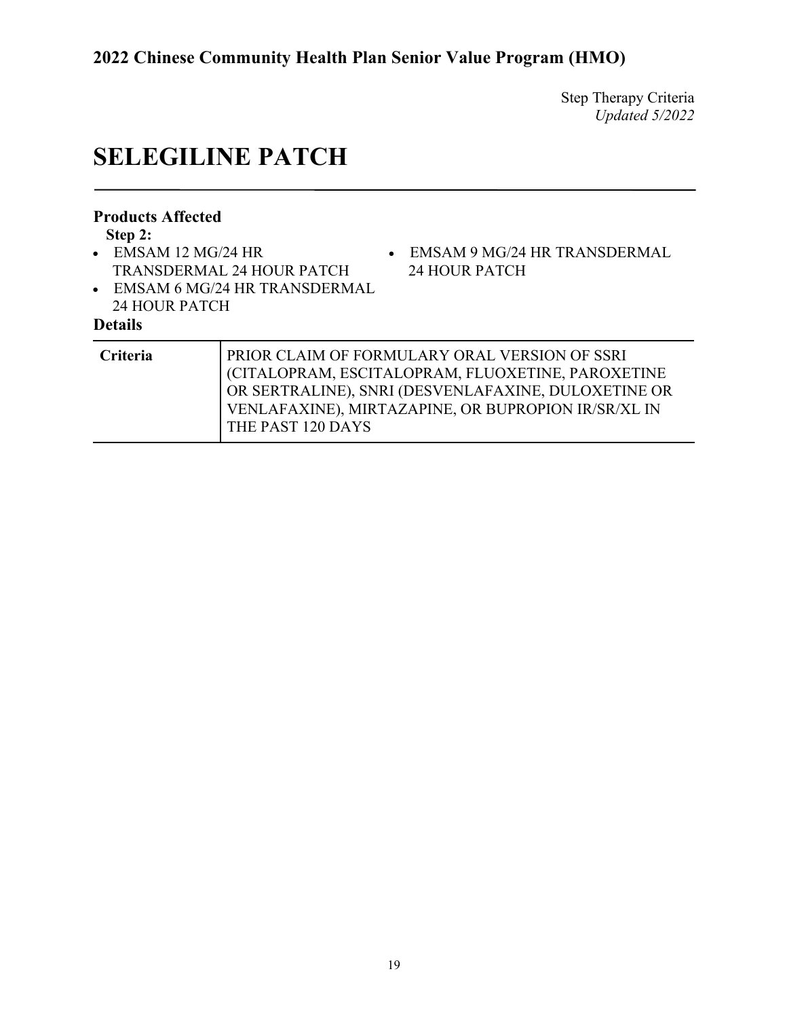# **SELEGILINE PATCH**

| <b>Products Affected</b><br>Step 2:<br>$\bullet$ EMSAM 12 MG/24 HR<br>24 HOUR PATCH<br><b>Details</b> | • EMSAM 9 MG/24 HR TRANSDERMAL<br><b>TRANSDERMAL 24 HOUR PATCH</b><br>24 HOUR PATCH<br>• EMSAM 6 MG/24 HR TRANSDERMAL                                                                                                                 |
|-------------------------------------------------------------------------------------------------------|---------------------------------------------------------------------------------------------------------------------------------------------------------------------------------------------------------------------------------------|
| <b>Criteria</b>                                                                                       | PRIOR CLAIM OF FORMULARY ORAL VERSION OF SSRI<br>(CITALOPRAM, ESCITALOPRAM, FLUOXETINE, PAROXETINE<br>OR SERTRALINE), SNRI (DESVENLAFAXINE, DULOXETINE OR<br>VENLAFAXINE), MIRTAZAPINE, OR BUPROPION IR/SR/XL IN<br>THE PAST 120 DAYS |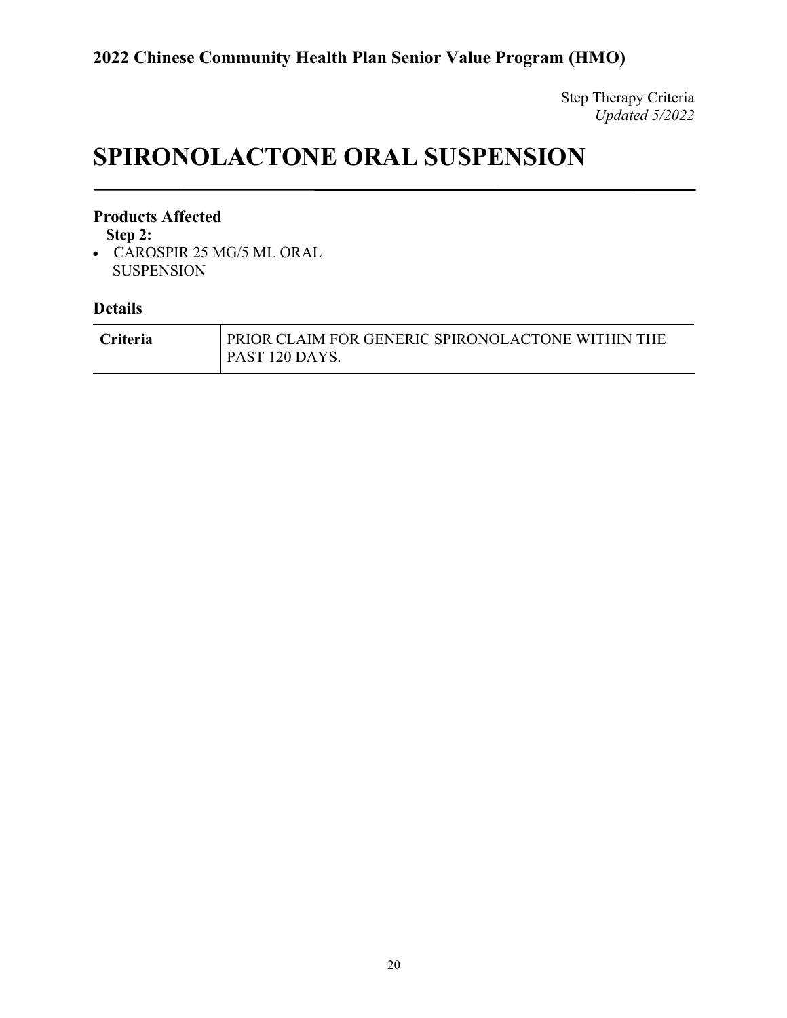# **SPIRONOLACTONE ORAL SUSPENSION**

#### **Products Affected**

**Step 2:**

• CAROSPIR 25 MG/5 ML ORAL SUSPENSION

| <b>Criteria</b> | PRIOR CLAIM FOR GENERIC SPIRONOLACTONE WITHIN THE |
|-----------------|---------------------------------------------------|
|                 | <b>PAST 120 DAYS.</b>                             |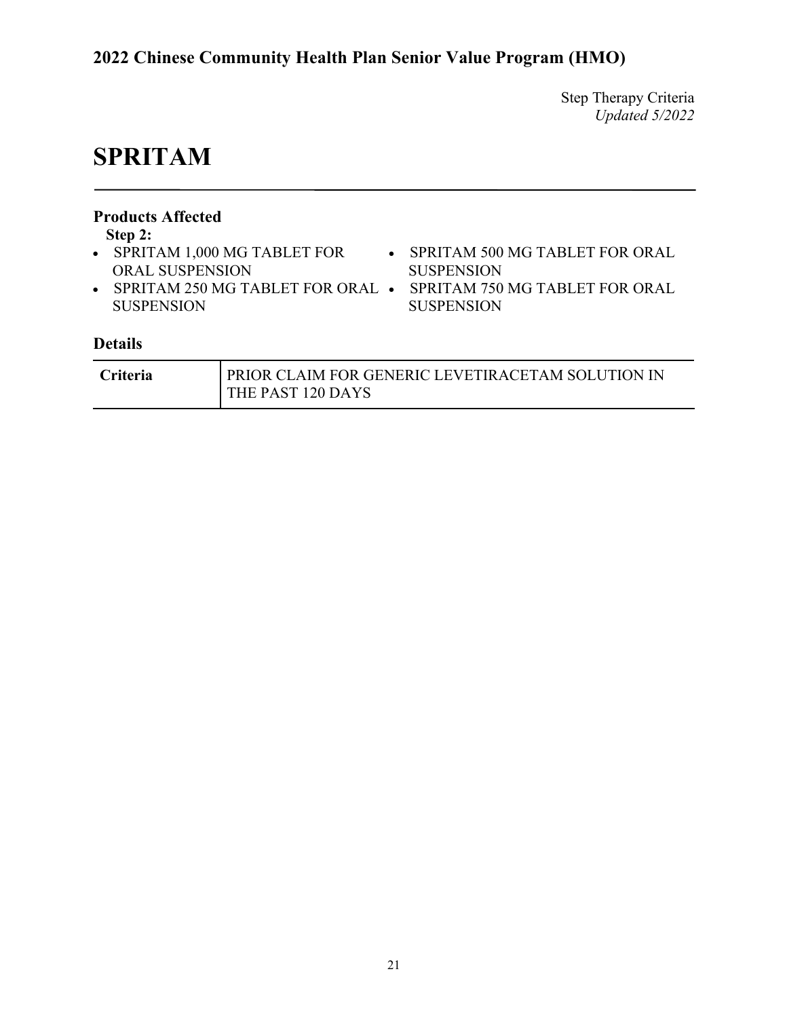## **SPRITAM**

| <b>Products Affected</b><br>Step 2:<br>• SPRITAM 1,000 MG TABLET FOR<br><b>ORAL SUSPENSION</b><br><b>SUSPENSION</b><br><b>Details</b> | • SPRITAM 250 MG TABLET FOR ORAL $\bullet$ | $\bullet$ | SPRITAM 500 MG TABLET FOR ORAL<br><b>SUSPENSION</b><br>SPRITAM 750 MG TABLET FOR ORAL<br><b>SUSPENSION</b> |
|---------------------------------------------------------------------------------------------------------------------------------------|--------------------------------------------|-----------|------------------------------------------------------------------------------------------------------------|
| Criteria                                                                                                                              | THE PAST 120 DAYS                          |           | PRIOR CLAIM FOR GENERIC LEVETIRACETAM SOLUTION IN                                                          |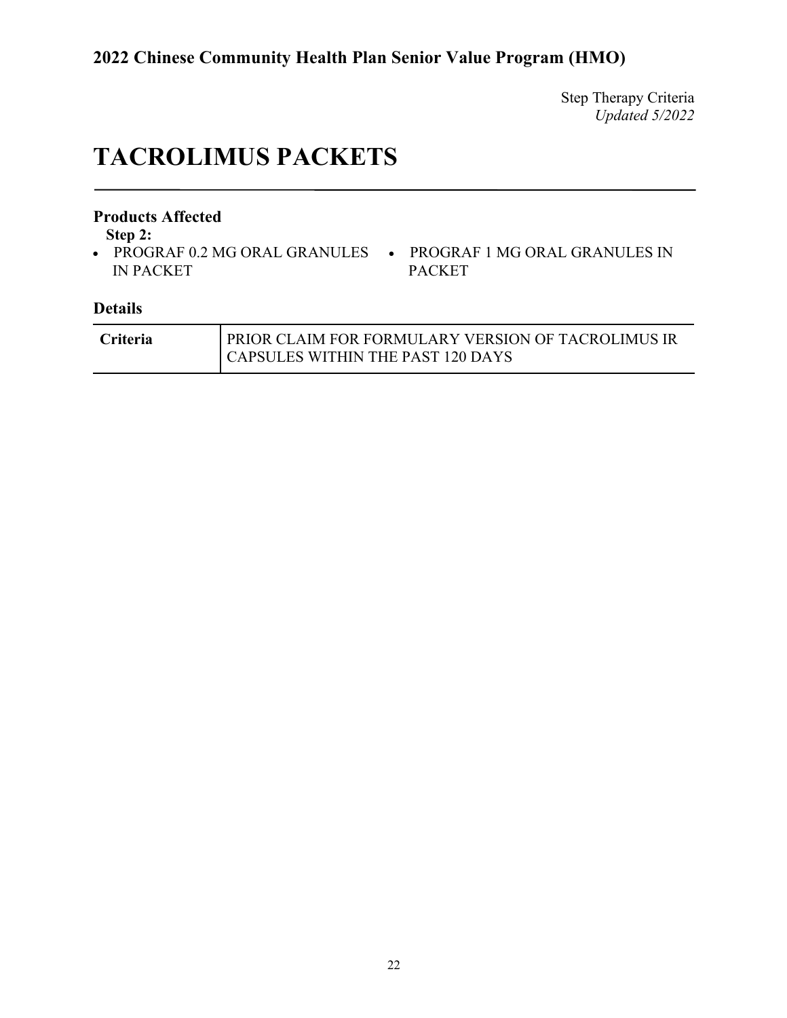# **TACROLIMUS PACKETS**

### **Products Affected**

**Step 2:**

- IN PACKET
- PROGRAF 0.2 MG ORAL GRANULES PROGRAF 1 MG ORAL GRANULES IN PACKET

| <b>Criteria</b> | <b>PRIOR CLAIM FOR FORMULARY VERSION OF TACROLIMUS IR</b> |
|-----------------|-----------------------------------------------------------|
|                 | <b>CAPSULES WITHIN THE PAST 120 DAYS</b>                  |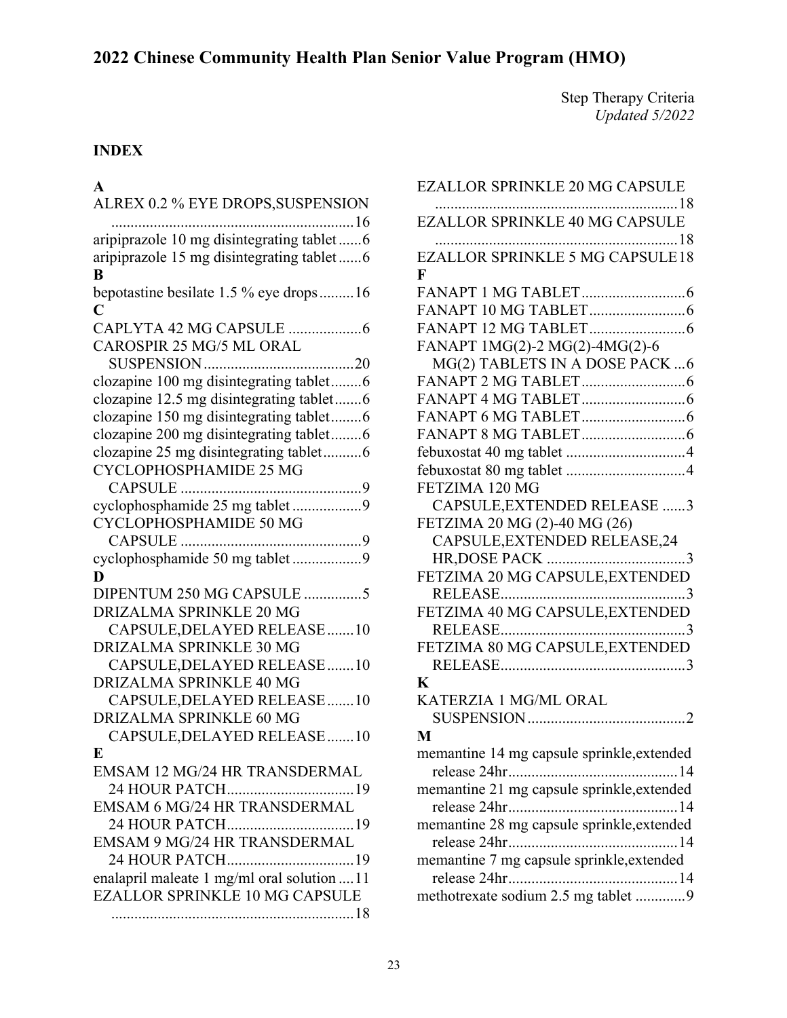### **INDEX**

### **A**

| A<br>ALREX 0.2 % EYE DROPS, SUSPENSION                       |
|--------------------------------------------------------------|
|                                                              |
| aripiprazole 10 mg disintegrating tablet 6                   |
| aripiprazole 15 mg disintegrating tablet 6                   |
| B                                                            |
| bepotastine besilate 1.5 % eye drops16                       |
| C                                                            |
|                                                              |
| CAROSPIR 25 MG/5 ML ORAL                                     |
|                                                              |
| clozapine 100 mg disintegrating tablet6                      |
| clozapine 12.5 mg disintegrating tablet6                     |
| clozapine 150 mg disintegrating tablet6                      |
| clozapine 200 mg disintegrating tablet6                      |
| clozapine 25 mg disintegrating tablet6                       |
| CYCLOPHOSPHAMIDE 25 MG                                       |
|                                                              |
| cyclophosphamide 25 mg tablet 9                              |
| CYCLOPHOSPHAMIDE 50 MG                                       |
|                                                              |
| cyclophosphamide 50 mg tablet 9                              |
| D                                                            |
| DIPENTUM 250 MG CAPSULE 5                                    |
| <b>DRIZALMA SPRINKLE 20 MG</b>                               |
| CAPSULE, DELAYED RELEASE10<br><b>DRIZALMA SPRINKLE 30 MG</b> |
| CAPSULE, DELAYED RELEASE10                                   |
| <b>DRIZALMA SPRINKLE 40 MG</b>                               |
| CAPSULE, DELAYED RELEASE 10                                  |
| <b>DRIZALMA SPRINKLE 60 MG</b>                               |
| CAPSULE, DELAYED RELEASE10                                   |
| E                                                            |
| EMSAM 12 MG/24 HR TRANSDERMAL                                |
| 24 HOUR PATCH19                                              |
| <b>EMSAM 6 MG/24 HR TRANSDERMAL</b>                          |
| 24 HOUR PATCH19                                              |
| EMSAM 9 MG/24 HR TRANSDERMAL                                 |
| 24 HOUR PATCH19                                              |
| enalapril maleate 1 mg/ml oral solution  11                  |
| <b>EZALLOR SPRINKLE 10 MG CAPSULE</b>                        |
|                                                              |

| <b>EZALLOR SPRINKLE 20 MG CAPSULE</b>      |
|--------------------------------------------|
| <b>EZALLOR SPRINKLE 40 MG CAPSULE</b>      |
|                                            |
| <b>EZALLOR SPRINKLE 5 MG CAPSULE18</b>     |
| F                                          |
|                                            |
|                                            |
|                                            |
| FANAPT 1MG(2)-2 MG(2)-4MG(2)-6             |
| MG(2) TABLETS IN A DOSE PACK  6            |
|                                            |
|                                            |
|                                            |
|                                            |
|                                            |
|                                            |
| FETZIMA 120 MG                             |
| CAPSULE, EXTENDED RELEASE 3                |
| FETZIMA 20 MG (2)-40 MG (26)               |
| CAPSULE, EXTENDED RELEASE, 24              |
|                                            |
| FETZIMA 20 MG CAPSULE, EXTENDED            |
|                                            |
| FETZIMA 40 MG CAPSULE, EXTENDED            |
|                                            |
| FETZIMA 80 MG CAPSULE, EXTENDED            |
|                                            |
| K                                          |
| KATERZIA 1 MG/ML ORAL                      |
|                                            |
| M                                          |
| memantine 14 mg capsule sprinkle, extended |
|                                            |
| memantine 21 mg capsule sprinkle, extended |
|                                            |
| memantine 28 mg capsule sprinkle, extended |
|                                            |
| memantine 7 mg capsule sprinkle, extended  |
|                                            |
| methotrexate sodium 2.5 mg tablet 9        |
|                                            |